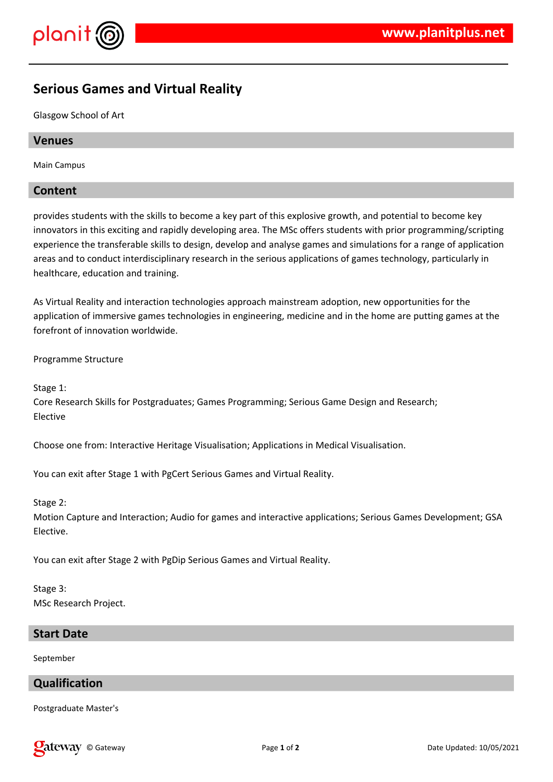

# **Serious Games and Virtual Reality**

Glasgow School of Art

# **Venues**

Main Campus

# **Content**

provides students with the skills to become a key part of this explosive growth, and potential to become key innovators in this exciting and rapidly developing area. The MSc offers students with prior programming/scripting experience the transferable skills to design, develop and analyse games and simulations for a range of application areas and to conduct interdisciplinary research in the serious applications of games technology, particularly in healthcare, education and training.

As Virtual Reality and interaction technologies approach mainstream adoption, new opportunities for the application of immersive games technologies in engineering, medicine and in the home are putting games at the forefront of innovation worldwide.

Programme Structure

Stage 1:

Core Research Skills for Postgraduates; Games Programming; Serious Game Design and Research; Elective

Choose one from: Interactive Heritage Visualisation; Applications in Medical Visualisation.

You can exit after Stage 1 with PgCert Serious Games and Virtual Reality.

Stage 2:

Motion Capture and Interaction; Audio for games and interactive applications; Serious Games Development; GSA Elective.

You can exit after Stage 2 with PgDip Serious Games and Virtual Reality.

Stage 3: MSc Research Project.

#### **Start Date**

September

# **Qualification**

Postgraduate Master's